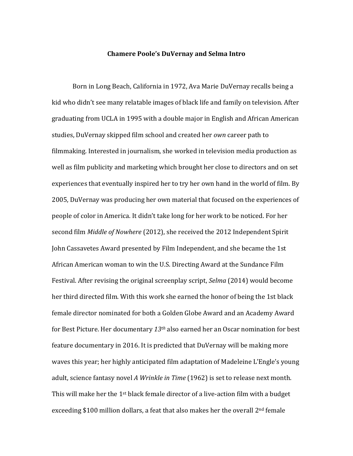## **Chamere Poole's DuVernay and Selma Intro**

Born in Long Beach, California in 1972, Ava Marie DuVernay recalls being a kid who didn't see many relatable images of black life and family on television. After graduating from UCLA in 1995 with a double major in English and African American studies, DuVernay skipped film school and created her *own* career path to filmmaking. Interested in journalism, she worked in television media production as well as film publicity and marketing which brought her close to directors and on set experiences that eventually inspired her to try her own hand in the world of film. By 2005, DuVernay was producing her own material that focused on the experiences of people of color in America. It didn't take long for her work to be noticed. For her second film *Middle of Nowhere* (2012), she received the 2012 Independent Spirit John Cassavetes Award presented by Film Independent, and she became the 1st African American woman to win the U.S. Directing Award at the Sundance Film Festival. After revising the original screenplay script, *Selma* (2014) would become her third directed film. With this work she earned the honor of being the 1st black female director nominated for both a Golden Globe Award and an Academy Award for Best Picture. Her documentary *13th* also earned her an Oscar nomination for best feature documentary in 2016. It is predicted that DuVernay will be making more waves this year; her highly anticipated film adaptation of Madeleine L'Engle's young adult, science fantasy novel *A Wrinkle in Time* (1962) is set to release next month. This will make her the  $1<sup>st</sup>$  black female director of a live-action film with a budget exceeding \$100 million dollars, a feat that also makes her the overall 2<sup>nd</sup> female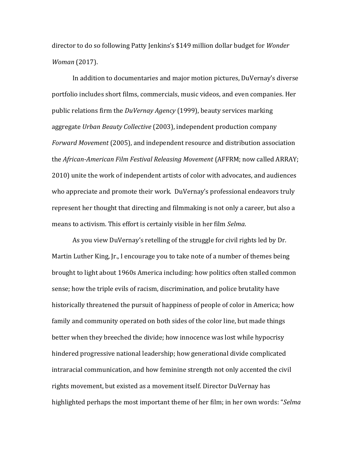director to do so following Patty Jenkins's \$149 million dollar budget for *Wonder Woman* (2017).

In addition to documentaries and major motion pictures, DuVernay's diverse portfolio includes short films, commercials, music videos, and even companies. Her public relations firm the *DuVernay Agency* (1999), beauty services marking aggregate *Urban Beauty Collective* (2003), independent production company *Forward Movement* (2005), and independent resource and distribution association the *African-American Film Festival Releasing Movement* (AFFRM; now called ARRAY; 2010) unite the work of independent artists of color with advocates, and audiences who appreciate and promote their work. DuVernay's professional endeavors truly represent her thought that directing and filmmaking is not only a career, but also a means to activism. This effort is certainly visible in her film *Selma*.

As you view DuVernay's retelling of the struggle for civil rights led by Dr. Martin Luther King, Jr., I encourage you to take note of a number of themes being brought to light about 1960s America including: how politics often stalled common sense; how the triple evils of racism, discrimination, and police brutality have historically threatened the pursuit of happiness of people of color in America; how family and community operated on both sides of the color line, but made things better when they breeched the divide; how innocence was lost while hypocrisy hindered progressive national leadership; how generational divide complicated intraracial communication, and how feminine strength not only accented the civil rights movement, but existed as a movement itself. Director DuVernay has highlighted perhaps the most important theme of her film; in her own words: "*Selma*